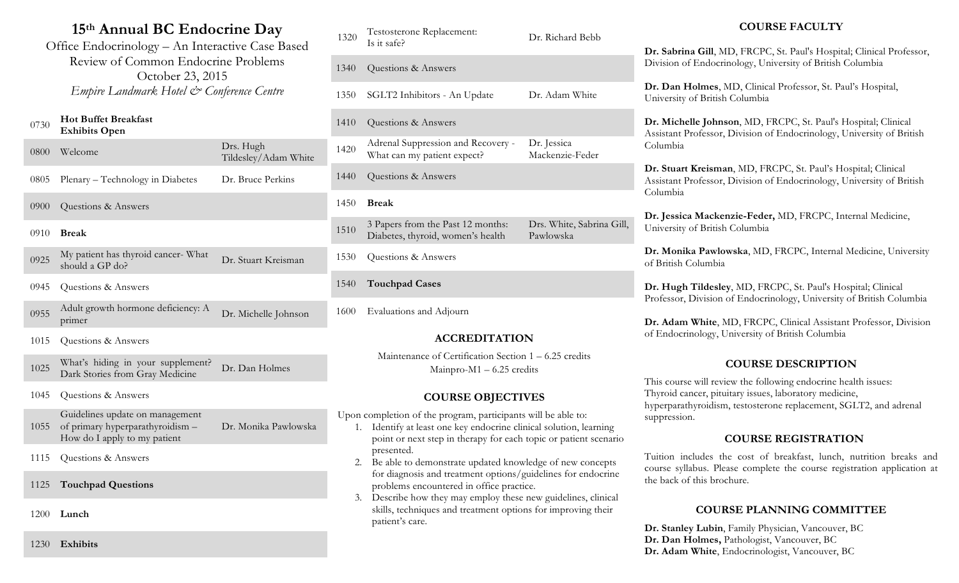# **15th Annual BC Endocrine Day**

Office Endocrinology – An Interactive Case Based Review of Common Endocrine Problems October 23, 2015 *Empire Landmark Hotel & Conference Centre* 

#### <sup>0730</sup> **Hot Buffet Breakfast Exhibits Open**

| 0800 | Welcome                                               | Drs. Hugh<br>Tildesley/Adam White |
|------|-------------------------------------------------------|-----------------------------------|
| 0805 | Plenary – Technology in Diabetes                      | Dr. Bruce Perkins                 |
| 0900 | Questions & Answers                                   |                                   |
| 0910 | <b>Break</b>                                          |                                   |
| 0925 | My patient has thyroid cancer-What<br>should a GP do? | Dr. Stuart Kreisman               |
| 0945 | Questions & Answers                                   |                                   |
|      | Adult growth hormone deficiency: A                    |                                   |

- 0955 Adult growth hormone deficiency: A primer Dr. Michelle Johnson
- 1015 Questions & Answers

<sup>1025</sup> What's hiding in your supplement? Dr. Dan Holmes<br>Dark Stories from Gray Medicine Dr. Dan Holmes

1045 Questions & Answers

1055 of primary hyperparathyroidism – Guidelines update on management How do I apply to my patient Dr. Monika Pawlowska

- 1115 Questions & Answers
- 1125 **Touchpad Questions**

1200 **Lunch**

1230 **Exhibits**

| 1320 | Testosterone Replacement:<br>Is it safe?                               | Dr. Richard Bebb                       |
|------|------------------------------------------------------------------------|----------------------------------------|
| 1340 | Questions & Answers                                                    |                                        |
| 1350 | SGLT2 Inhibitors - An Update                                           | Dr. Adam White                         |
| 1410 | Questions & Answers                                                    |                                        |
| 1420 | Adrenal Suppression and Recovery -<br>What can my patient expect?      | Dr. Jessica<br>Mackenzie-Feder         |
| 1440 | Questions & Answers                                                    |                                        |
| 1450 | <b>Break</b>                                                           |                                        |
| 1510 | 3 Papers from the Past 12 months:<br>Diabetes, thyroid, women's health | Drs. White, Sabrina Gill,<br>Pawlowska |
| 1530 | Questions & Answers                                                    |                                        |
| 1540 | <b>Touchpad Cases</b>                                                  |                                        |

1600 Evaluations and Adjourn

### **ACCREDITATION**

Maintenance of Certification Section 1 – 6.25 credits Mainpro-M1 – 6.25 credits

### **COURSE OBJECTIVES**

Upon completion of the program, participants will be able to:

- 1. Identify at least one key endocrine clinical solution, learning point or next step in therapy for each topic or patient scenario presented.
- 2. Be able to demonstrate updated knowledge of new concepts for diagnosis and treatment options/guidelines for endocrine problems encountered in office practice.
- 3. Describe how they may employ these new guidelines, clinical skills, techniques and treatment options for improving their patient's care.

## **COURSE FACULTY**

**Dr. Sabrina Gill**, MD, FRCPC, St. Paul's Hospital; Clinical Professor, Division of Endocrinology, University of British Columbia

**Dr. Dan Holmes**, MD, Clinical Professor, St. Paul's Hospital, University of British Columbia

**Dr. Michelle Johnson**, MD, FRCPC, St. Paul's Hospital; Clinical Assistant Professor, Division of Endocrinology, University of British Columbia

**Dr. Stuart Kreisman**, MD, FRCPC, St. Paul's Hospital; Clinical Assistant Professor, Division of Endocrinology, University of British Columbia

**Dr. Jessica Mackenzie-Feder,** MD, FRCPC, Internal Medicine, University of British Columbia

**Dr. Monika Pawlowska**, MD, FRCPC, Internal Medicine, University of British Columbia

**Dr. Hugh Tildesley**, MD, FRCPC, St. Paul's Hospital; Clinical Professor, Division of Endocrinology, University of British Columbia

**Dr. Adam White**, MD, FRCPC, Clinical Assistant Professor, Division of Endocrinology, University of British Columbia

### **COURSE DESCRIPTION**

This course will review the following endocrine health issues: Thyroid cancer, pituitary issues, laboratory medicine, hyperparathyroidism, testosterone replacement, SGLT2, and adrenal suppression.

### **COURSE REGISTRATION**

Tuition includes the cost of breakfast, lunch, nutrition breaks and course syllabus. Please complete the course registration application at the back of this brochure.

### **COURSE PLANNING COMMITTEE**

**Dr. Stanley Lubin**, Family Physician, Vancouver, BC **Dr. Dan Holmes,** Pathologist, Vancouver, BC **Dr. Adam White**, Endocrinologist, Vancouver, BC